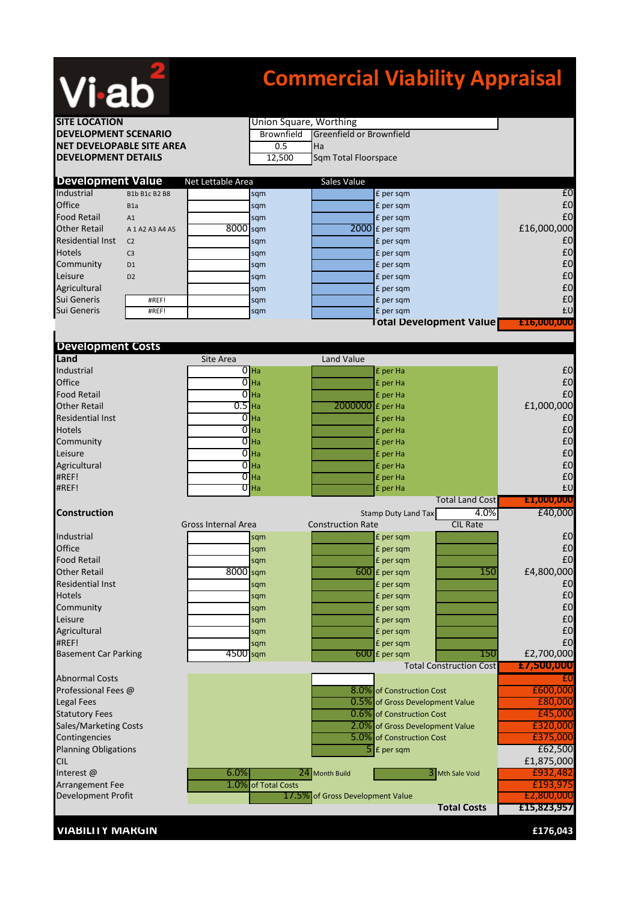

## **Commercial Viability Appraisal**

| <b>SITE LOCATION</b>                                   |                  | Union Square, Worthing |                                                              |                          |                                 |                                |                        |
|--------------------------------------------------------|------------------|------------------------|--------------------------------------------------------------|--------------------------|---------------------------------|--------------------------------|------------------------|
| <b>DEVELOPMENT SCENARIO</b>                            |                  |                        | Greenfield or Brownfield<br><b>Brownfield</b>                |                          |                                 |                                |                        |
| <b>NET DEVELOPABLE SITE AREA</b>                       |                  |                        | 0.5<br>Ha                                                    |                          |                                 |                                |                        |
| <b>DEVELOPMENT DETAILS</b>                             |                  | 12,500                 | Sqm Total Floorspace                                         |                          |                                 |                                |                        |
|                                                        |                  |                        |                                                              |                          |                                 |                                |                        |
| <b>Development Value</b><br>Industrial                 | B1b B1c B2 B8    | Net Lettable Area      | sqm                                                          | Sales Value              | £ per sqm                       |                                | E <sub>0</sub>         |
| Office                                                 | B <sub>1</sub> a |                        | sqm                                                          |                          | £ per sqm                       |                                | £0                     |
| <b>Food Retail</b>                                     | A1               |                        | sqm                                                          |                          | £ per sqm                       |                                | £0                     |
| <b>Other Retail</b>                                    | A 1 A2 A3 A4 A5  | 8000 sqm               |                                                              |                          | 2000 £ per sqm                  |                                | £16,000,000            |
| <b>Residential Inst</b>                                | C <sub>2</sub>   |                        | sqm                                                          |                          | £ per sqm                       |                                | £0                     |
| <b>Hotels</b>                                          | C <sub>3</sub>   |                        | sqm                                                          |                          | £ per sqm                       |                                | £0                     |
| Community                                              | D <sub>1</sub>   |                        | sqm                                                          |                          | £ per sqm                       |                                | £0                     |
| Leisure                                                | D <sub>2</sub>   |                        | sqm                                                          |                          | £ per sqm                       |                                | £0                     |
| Agricultural                                           |                  |                        | sqm                                                          |                          | £ per sqm                       |                                | £0                     |
| Sui Generis                                            | #REF!            |                        | sqm                                                          |                          | £ per sqm                       |                                | £0                     |
| Sui Generis                                            | #REF!            |                        | sqm                                                          |                          | £ per sqm                       |                                | £0                     |
|                                                        |                  |                        |                                                              |                          |                                 | <b>Total Development Value</b> | £16,000,000            |
|                                                        |                  |                        |                                                              |                          |                                 |                                |                        |
| <b>Development Costs</b><br>Land                       |                  | Site Area              |                                                              | Land Value               |                                 |                                |                        |
| Industrial                                             |                  |                        | $\overline{0}$ Ha                                            |                          | £ per Ha                        |                                | £0                     |
| Office                                                 |                  |                        | $\overline{0}$ Ha                                            |                          | £ per Ha                        |                                | £0                     |
| <b>Food Retail</b>                                     |                  | $\overline{0}$         | Ha                                                           |                          | £ per Ha                        |                                | £0                     |
| <b>Other Retail</b>                                    |                  | $\overline{0.5}$ Ha    |                                                              | 2000000                  | £ per Ha                        |                                | £1,000,000             |
| <b>Residential Inst</b>                                |                  |                        | $\overline{O}$ Ha                                            |                          | £ per Ha                        |                                | £0                     |
| <b>Hotels</b>                                          |                  | $\overline{0}$         | Ha                                                           |                          | £ per Ha                        |                                | £0                     |
| Community                                              |                  |                        | $\overline{0}$ Ha                                            |                          | £ per Ha                        |                                | £0                     |
| Leisure                                                |                  |                        | $\overline{O}$ Ha                                            |                          | £ per Ha                        |                                | £0                     |
| Agricultural                                           |                  |                        | $\overline{0}$ Ha                                            |                          | £ per Ha                        |                                | £0                     |
| #REF!                                                  |                  |                        | $\overline{0}$ Ha                                            |                          | £ per Ha                        |                                | £0                     |
| #REF!                                                  |                  |                        | $\overline{0}$ Ha                                            |                          | £ per Ha                        |                                | £0                     |
|                                                        |                  |                        |                                                              |                          |                                 | <b>Total Land Cost</b>         | £1,000,000             |
| <b>Construction</b>                                    |                  | Gross Internal Area    |                                                              | <b>Construction Rate</b> | <b>Stamp Duty Land Tax</b>      | 4.0%<br><b>CIL Rate</b>        | £40,000                |
| Industrial                                             |                  |                        | sqm                                                          |                          | £ per sqm                       |                                | £0                     |
| Office                                                 |                  |                        | sqm                                                          |                          | £ per sqm                       |                                | £0                     |
| <b>Food Retail</b>                                     |                  |                        | sqm                                                          |                          | £ per sqm                       |                                | £0                     |
| <b>Other Retail</b>                                    |                  | 8000                   | sqm                                                          | 600                      | £ per sqm                       | 150                            | £4,800,000             |
| <b>Residential Inst</b>                                |                  |                        | sqm                                                          |                          | £ per sqm                       |                                | £0                     |
| <b>Hotels</b>                                          |                  |                        | sqm                                                          |                          | £ per sqm                       |                                | £0                     |
| Community                                              |                  |                        | sqm                                                          |                          | £ per sqm                       |                                | £0                     |
| Leisure                                                |                  |                        | sqm                                                          |                          | £ per sqm                       |                                | £0                     |
| Agricultural                                           |                  |                        | sqm                                                          |                          | £ per sqm                       |                                | £0                     |
| #REF!                                                  |                  |                        | sqm                                                          |                          | £ per sqm                       |                                | £0                     |
| <b>Basement Car Parking</b>                            |                  | $4500$ sqm             |                                                              |                          | $600$ £ per sqm                 | 150                            | £2,700,000             |
|                                                        |                  |                        |                                                              |                          |                                 | <b>Total Construction Cost</b> | £7,500,000             |
| <b>Abnormal Costs</b>                                  |                  |                        |                                                              |                          |                                 |                                | £θ                     |
| Professional Fees @                                    |                  |                        |                                                              |                          | 8.0% of Construction Cost       |                                | £600,000               |
| <b>Legal Fees</b>                                      |                  |                        |                                                              |                          | 0.5% of Gross Development Value |                                | £80,000                |
| <b>Statutory Fees</b>                                  |                  |                        |                                                              |                          | 0.6% of Construction Cost       |                                | £45,000                |
| Sales/Marketing Costs                                  |                  |                        | 2.0% of Gross Development Value<br>5.0% of Construction Cost |                          |                                 | £320,000                       |                        |
| Contingencies<br><b>Planning Obligations</b>           |                  |                        |                                                              |                          |                                 |                                | £375,000               |
|                                                        |                  |                        |                                                              | 51                       | £ per sqm                       |                                | £62,500                |
| CIL<br>Interest@                                       |                  | 6.0%                   |                                                              |                          |                                 |                                | £1,875,000<br>£932,482 |
| <b>Arrangement Fee</b>                                 |                  |                        | 24 Month Build<br>3 Mth Sale Void<br>1.0% of Total Costs     |                          |                                 |                                | £193,975               |
| Development Profit<br>17.5% of Gross Development Value |                  |                        |                                                              |                          |                                 |                                | £2,800,000             |
|                                                        |                  |                        |                                                              |                          |                                 | <b>Total Costs</b>             | £15,823,957            |
|                                                        |                  |                        |                                                              |                          |                                 |                                |                        |
| <b>VIABILITY MARGIN</b>                                |                  |                        |                                                              |                          |                                 |                                | £176,043               |